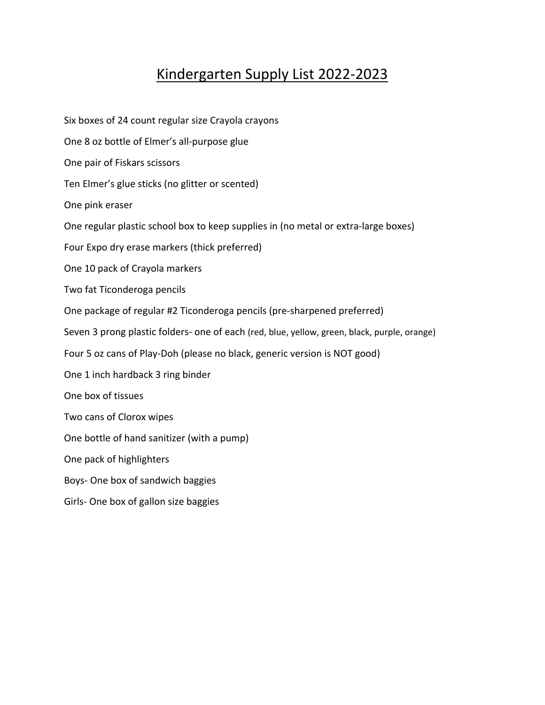## Kindergarten Supply List 2022‐2023

Six boxes of 24 count regular size Crayola crayons One 8 oz bottle of Elmer's all‐purpose glue One pair of Fiskars scissors Ten Elmer's glue sticks (no glitter or scented) One pink eraser One regular plastic school box to keep supplies in (no metal or extra‐large boxes) Four Expo dry erase markers (thick preferred) One 10 pack of Crayola markers Two fat Ticonderoga pencils One package of regular #2 Ticonderoga pencils (pre‐sharpened preferred) Seven 3 prong plastic folders‐ one of each (red, blue, yellow, green, black, purple, orange) Four 5 oz cans of Play‐Doh (please no black, generic version is NOT good) One 1 inch hardback 3 ring binder One box of tissues Two cans of Clorox wipes One bottle of hand sanitizer (with a pump) One pack of highlighters Boys‐ One box of sandwich baggies Girls‐ One box of gallon size baggies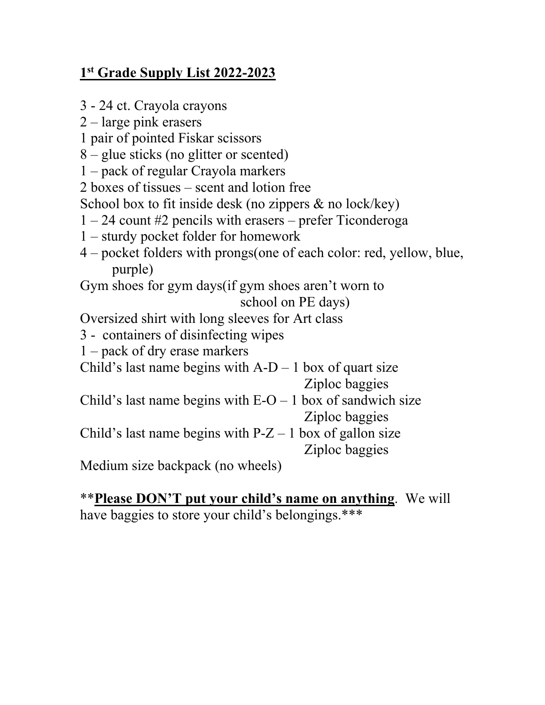## **1st Grade Supply List 2022-2023**

- 3 24 ct. Crayola crayons
- 2 large pink erasers
- 1 pair of pointed Fiskar scissors
- 8 glue sticks (no glitter or scented)
- 1 pack of regular Crayola markers
- 2 boxes of tissues scent and lotion free
- School box to fit inside desk (no zippers & no lock/key)
- 1 24 count #2 pencils with erasers prefer Ticonderoga
- 1 sturdy pocket folder for homework
- 4 pocket folders with prongs(one of each color: red, yellow, blue, purple)

Gym shoes for gym days(if gym shoes aren't worn to school on PE days)

Oversized shirt with long sleeves for Art class

- 3 containers of disinfecting wipes
- 1 pack of dry erase markers
- Child's last name begins with  $A-D-1$  box of quart size Ziploc baggies
- Child's last name begins with  $E-O-1$  box of sandwich size Ziploc baggies

Child's last name begins with  $P-Z-1$  box of gallon size Ziploc baggies

Medium size backpack (no wheels)

## \*\***Please DON'T put your child's name on anything**. We will

have baggies to store your child's belongings.\*\*\*